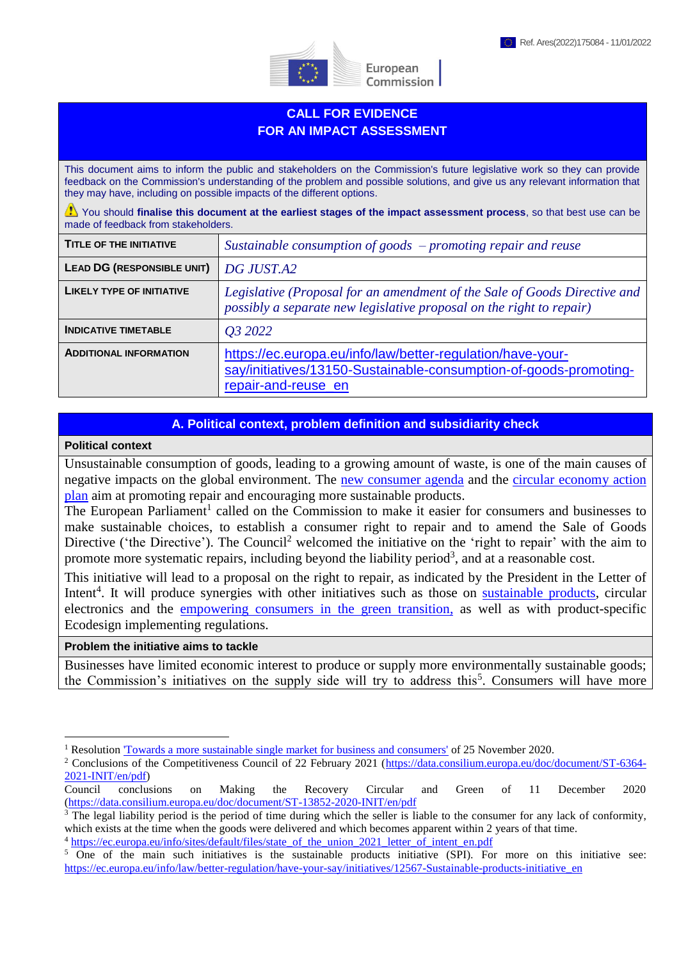

European Commission

# **CALL FOR EVIDENCE FOR AN IMPACT ASSESSMENT**

This document aims to inform the public and stakeholders on the Commission's future legislative work so they can provide feedback on the Commission's understanding of the problem and possible solutions, and give us any relevant information that they may have, including on possible impacts of the different options.

You should finalise this document at the earliest stages of the impact assessment process, so that best use can be made of feedback from stakeholders.

| <b>TITLE OF THE INITIATIVE</b>    | Sustainable consumption of goods $-p$ romoting repair and reuse                                                                                        |
|-----------------------------------|--------------------------------------------------------------------------------------------------------------------------------------------------------|
| <b>LEAD DG (RESPONSIBLE UNIT)</b> | DG JUST.A2                                                                                                                                             |
| <b>LIKELY TYPE OF INITIATIVE</b>  | Legislative (Proposal for an amendment of the Sale of Goods Directive and<br>possibly a separate new legislative proposal on the right to repair)      |
| <b>INDICATIVE TIMETABLE</b>       | <i>O3</i> 2022                                                                                                                                         |
| <b>ADDITIONAL INFORMATION</b>     | https://ec.europa.eu/info/law/better-regulation/have-your-<br>say/initiatives/13150-Sustainable-consumption-of-goods-promoting-<br>repair-and-reuse_en |

# **A. Political context, problem definition and subsidiarity check**

#### **Political context**

1

Unsustainable consumption of goods, leading to a growing amount of waste, is one of the main causes of negative impacts on the global environment. The [new consumer agenda](https://eur-lex.europa.eu/legal-content/EN/TXT/?uri=CELEX:52020DC0696) and the [circular economy action](https://eur-lex.europa.eu/legal-content/EN/TXT/HTML/?uri=CELEX:52020DC0098&from=EN)  [plan](https://eur-lex.europa.eu/legal-content/EN/TXT/HTML/?uri=CELEX:52020DC0098&from=EN) aim at promoting repair and encouraging more sustainable products.

The European Parliament<sup>1</sup> called on the Commission to make it easier for consumers and businesses to make sustainable choices, to establish a consumer right to repair and to amend the Sale of Goods Directive ('the Directive'). The Council<sup>2</sup> welcomed the initiative on the 'right to repair' with the aim to promote more systematic repairs, including beyond the liability period<sup>3</sup>, and at a reasonable cost.

This initiative will lead to a proposal on the right to repair, as indicated by the President in the Letter of Intent<sup>4</sup>. It will produce synergies with other initiatives such as those on **sustainable products**, circular electronics and the [empowering consumers in the green transition,](https://ec.europa.eu/info/law/better-regulation/have-your-say/initiatives/12467-Consumer-policy-strengthening-the-role-of-consumers-in-the-green-transition_en) as well as with product-specific Ecodesign implementing regulations.

#### **Problem the initiative aims to tackle**

Businesses have limited economic interest to produce or supply more environmentally sustainable goods; the Commission's initiatives on the supply side will try to address this<sup>5</sup>. Consumers will have more

<sup>&</sup>lt;sup>1</sup> Resolution <u>['Towards a more sustainable single market for business and consumers'](https://www.europarl.europa.eu/doceo/document/TA-9-2020-0318_EN.html)</u> of 25 November 2020.

<sup>&</sup>lt;sup>2</sup> Conclusions of the Competitiveness Council of 22 February 2021 [\(https://data.consilium.europa.eu/doc/document/ST-6364-](https://data.consilium.europa.eu/doc/document/ST-6364-2021-INIT/en/pdf) [2021-INIT/en/pdf\)](https://data.consilium.europa.eu/doc/document/ST-6364-2021-INIT/en/pdf)

Council conclusions on Making the Recovery Circular and Green of 11 December 2020 [\(https://data.consilium.europa.eu/doc/document/ST-13852-2020-INIT/en/pdf](https://data.consilium.europa.eu/doc/document/ST-13852-2020-INIT/en/pdf)

<sup>&</sup>lt;sup>3</sup> The legal liability period is the period of time during which the seller is liable to the consumer for any lack of conformity, which exists at the time when the goods were delivered and which becomes apparent within 2 years of that time.

<sup>4</sup> [https://ec.europa.eu/info/sites/default/files/state\\_of\\_the\\_union\\_2021\\_letter\\_of\\_intent\\_en.pdf](https://ec.europa.eu/info/sites/default/files/state_of_the_union_2021_letter_of_intent_en.pdf)

<sup>&</sup>lt;sup>5</sup> One of the main such initiatives is the sustainable products initiative (SPI). For more on this initiative see: [https://ec.europa.eu/info/law/better-regulation/have-your-say/initiatives/12567-Sustainable-products-initiative\\_en](https://ec.europa.eu/info/law/better-regulation/have-your-say/initiatives/12567-Sustainable-products-initiative_en)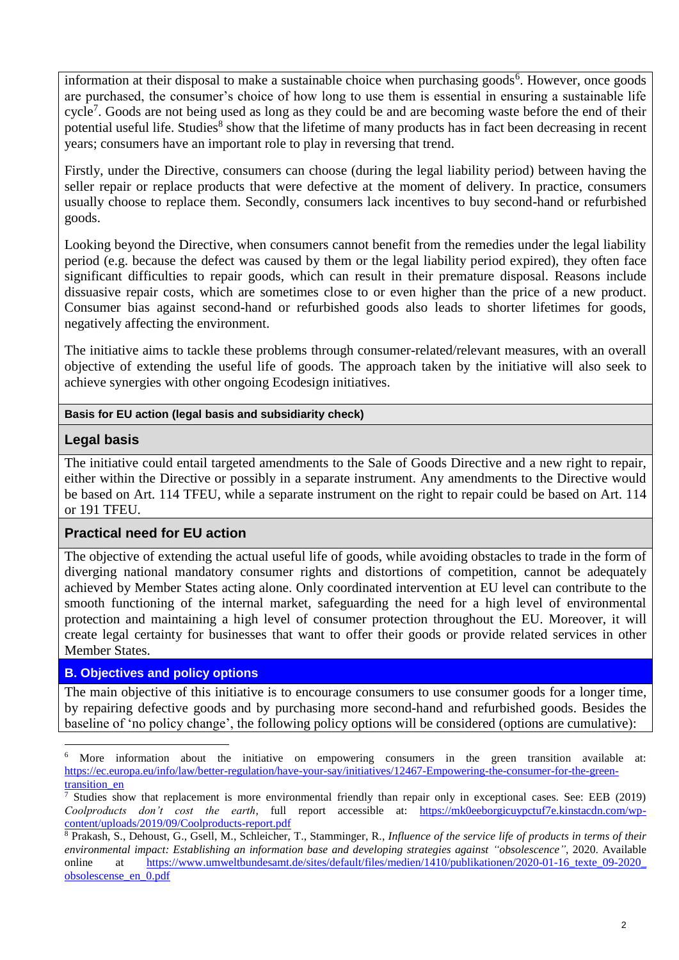information at their disposal to make a sustainable choice when purchasing goods<sup>6</sup>. However, once goods are purchased, the consumer's choice of how long to use them is essential in ensuring a sustainable life cycle<sup>7</sup>. Goods are not being used as long as they could be and are becoming waste before the end of their potential useful life. Studies<sup>8</sup> show that the lifetime of many products has in fact been decreasing in recent years; consumers have an important role to play in reversing that trend.

Firstly, under the Directive, consumers can choose (during the legal liability period) between having the seller repair or replace products that were defective at the moment of delivery. In practice, consumers usually choose to replace them. Secondly, consumers lack incentives to buy second-hand or refurbished goods.

Looking beyond the Directive, when consumers cannot benefit from the remedies under the legal liability period (e.g. because the defect was caused by them or the legal liability period expired), they often face significant difficulties to repair goods, which can result in their premature disposal. Reasons include dissuasive repair costs, which are sometimes close to or even higher than the price of a new product. Consumer bias against second-hand or refurbished goods also leads to shorter lifetimes for goods, negatively affecting the environment.

The initiative aims to tackle these problems through consumer-related/relevant measures, with an overall objective of extending the useful life of goods. The approach taken by the initiative will also seek to achieve synergies with other ongoing Ecodesign initiatives.

#### **Basis for EU action (legal basis and subsidiarity check)**

#### **Legal basis**

The initiative could entail targeted amendments to the Sale of Goods Directive and a new right to repair, either within the Directive or possibly in a separate instrument. Any amendments to the Directive would be based on Art. 114 TFEU, while a separate instrument on the right to repair could be based on Art. 114 or 191 TFEU.

#### **Practical need for EU action**

The objective of extending the actual useful life of goods, while avoiding obstacles to trade in the form of diverging national mandatory consumer rights and distortions of competition, cannot be adequately achieved by Member States acting alone. Only coordinated intervention at EU level can contribute to the smooth functioning of the internal market, safeguarding the need for a high level of environmental protection and maintaining a high level of consumer protection throughout the EU. Moreover, it will create legal certainty for businesses that want to offer their goods or provide related services in other Member States.

# **B. Objectives and policy options**

The main objective of this initiative is to encourage consumers to use consumer goods for a longer time, by repairing defective goods and by purchasing more second-hand and refurbished goods. Besides the baseline of 'no policy change', the following policy options will be considered (options are cumulative):

<sup>1</sup> More information about the initiative on empowering consumers in the green transition available at: [https://ec.europa.eu/info/law/better-regulation/have-your-say/initiatives/12467-Empowering-the-consumer-for-the-green](https://ec.europa.eu/info/law/better-regulation/have-your-say/initiatives/12467-Empowering-the-consumer-for-the-green-transition_en)transition en

<sup>7</sup> Studies show that replacement is more environmental friendly than repair only in exceptional cases. See: EEB (2019) *Coolproducts don't cost the earth*, full report accessible at: [https://mk0eeborgicuypctuf7e.kinstacdn.com/wp](https://mk0eeborgicuypctuf7e.kinstacdn.com/wp-content/uploads/2019/09/Coolproducts-report.pdf)[content/uploads/2019/09/Coolproducts-report.pdf](https://mk0eeborgicuypctuf7e.kinstacdn.com/wp-content/uploads/2019/09/Coolproducts-report.pdf)

<sup>8</sup> Prakash, S., Dehoust, G., Gsell, M., Schleicher, T., Stamminger, R., *Influence of the service life of products in terms of their environmental impact: Establishing an information base and developing strategies against "obsolescence"*, 2020. Available online at [https://www.umweltbundesamt.de/sites/default/files/medien/1410/publikationen/2020-01-16\\_texte\\_09-2020\\_](https://www.umweltbundesamt.de/​sites/​default/​files/​medien/​1410/​publikationen/​2020-01-16_​texte_​09-2020_​obsolescense_​en_​0.pdf) [obsolescense\\_en\\_0.pdf](https://www.umweltbundesamt.de/​sites/​default/​files/​medien/​1410/​publikationen/​2020-01-16_​texte_​09-2020_​obsolescense_​en_​0.pdf)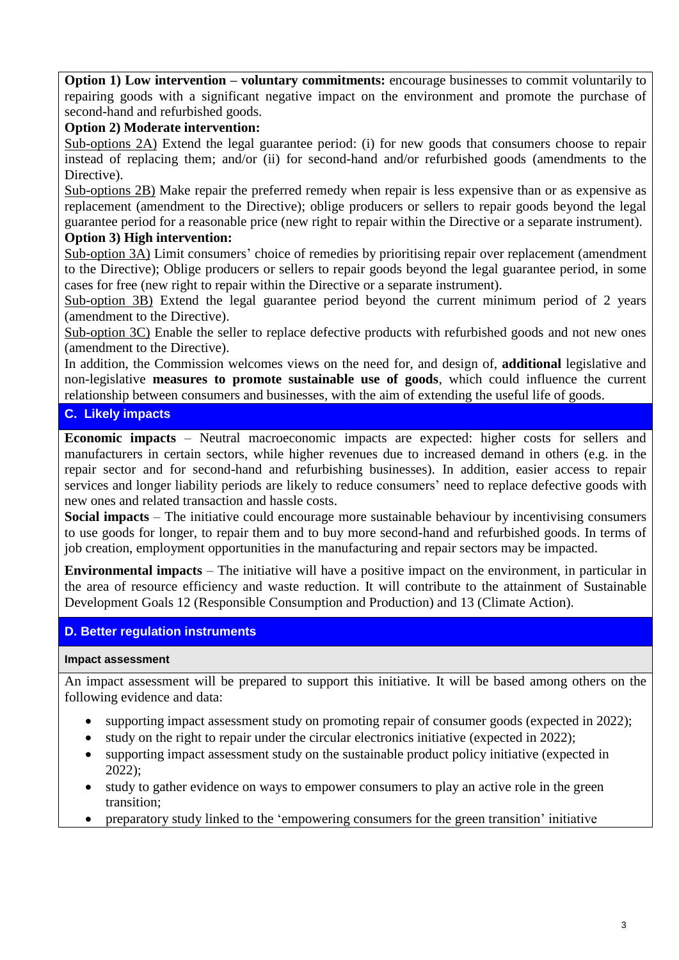**Option 1) Low intervention – voluntary commitments:** encourage businesses to commit voluntarily to repairing goods with a significant negative impact on the environment and promote the purchase of second-hand and refurbished goods.

# **Option 2) Moderate intervention:**

Sub-options 2A) Extend the legal guarantee period: (i) for new goods that consumers choose to repair instead of replacing them; and/or (ii) for second-hand and/or refurbished goods (amendments to the Directive).

Sub-options 2B) Make repair the preferred remedy when repair is less expensive than or as expensive as replacement (amendment to the Directive); oblige producers or sellers to repair goods beyond the legal guarantee period for a reasonable price (new right to repair within the Directive or a separate instrument). **Option 3) High intervention:**

Sub-option 3A) Limit consumers' choice of remedies by prioritising repair over replacement (amendment to the Directive); Oblige producers or sellers to repair goods beyond the legal guarantee period, in some cases for free (new right to repair within the Directive or a separate instrument).

Sub-option 3B) Extend the legal guarantee period beyond the current minimum period of 2 years (amendment to the Directive).

Sub-option 3C) Enable the seller to replace defective products with refurbished goods and not new ones (amendment to the Directive).

In addition, the Commission welcomes views on the need for, and design of, **additional** legislative and non-legislative **measures to promote sustainable use of goods**, which could influence the current relationship between consumers and businesses, with the aim of extending the useful life of goods.

# **C. Likely impacts**

**Economic impacts** – Neutral macroeconomic impacts are expected: higher costs for sellers and manufacturers in certain sectors, while higher revenues due to increased demand in others (e.g. in the repair sector and for second-hand and refurbishing businesses). In addition, easier access to repair services and longer liability periods are likely to reduce consumers' need to replace defective goods with new ones and related transaction and hassle costs.

**Social impacts** – The initiative could encourage more sustainable behaviour by incentivising consumers to use goods for longer, to repair them and to buy more second-hand and refurbished goods. In terms of job creation, employment opportunities in the manufacturing and repair sectors may be impacted.

**Environmental impacts** – The initiative will have a positive impact on the environment, in particular in the area of resource efficiency and waste reduction. It will contribute to the attainment of Sustainable Development Goals 12 (Responsible Consumption and Production) and 13 (Climate Action).

# **D. Better regulation instruments**

#### **Impact assessment**

An impact assessment will be prepared to support this initiative. It will be based among others on the following evidence and data:

- supporting impact assessment study on promoting repair of consumer goods (expected in 2022);
- study on the right to repair under the circular electronics initiative (expected in 2022);
- supporting impact assessment study on the sustainable product policy initiative (expected in 2022);
- study to gather evidence on ways to empower consumers to play an active role in the green transition;
- preparatory study linked to the 'empowering consumers for the green transition' initiative